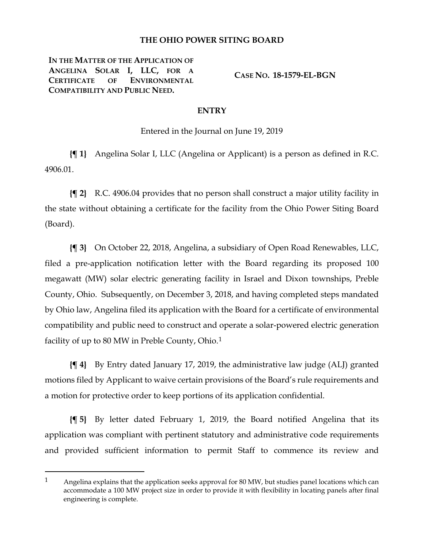## **THE OHIO POWER SITING BOARD**

**IN THE MATTER OF THE APPLICATION OF ANGELINA SOLAR I, LLC, FOR A CERTIFICATE OF ENVIRONMENTAL COMPATIBILITY AND PUBLIC NEED.**

 $\overline{a}$ 

**CASE NO. 18-1579-EL-BGN**

## **ENTRY**

Entered in the Journal on June 19, 2019

**{¶ 1}** Angelina Solar I, LLC (Angelina or Applicant) is a person as defined in R.C. 4906.01.

**{¶ 2}** R.C. 4906.04 provides that no person shall construct a major utility facility in the state without obtaining a certificate for the facility from the Ohio Power Siting Board (Board).

**{¶ 3}** On October 22, 2018, Angelina, a subsidiary of Open Road Renewables, LLC, filed a pre-application notification letter with the Board regarding its proposed 100 megawatt (MW) solar electric generating facility in Israel and Dixon townships, Preble County, Ohio. Subsequently, on December 3, 2018, and having completed steps mandated by Ohio law, Angelina filed its application with the Board for a certificate of environmental compatibility and public need to construct and operate a solar-powered electric generation facility of up to 80 MW in Preble County, Ohio.<sup>[1](#page-0-0)</sup>

**{¶ 4}** By Entry dated January 17, 2019, the administrative law judge (ALJ) granted motions filed by Applicant to waive certain provisions of the Board's rule requirements and a motion for protective order to keep portions of its application confidential.

**{¶ 5}** By letter dated February 1, 2019, the Board notified Angelina that its application was compliant with pertinent statutory and administrative code requirements and provided sufficient information to permit Staff to commence its review and

<span id="page-0-0"></span><sup>1</sup> Angelina explains that the application seeks approval for 80 MW, but studies panel locations which can accommodate a 100 MW project size in order to provide it with flexibility in locating panels after final engineering is complete.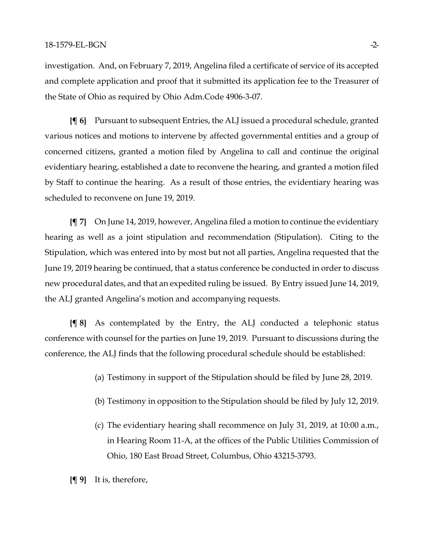investigation. And, on February 7, 2019, Angelina filed a certificate of service of its accepted and complete application and proof that it submitted its application fee to the Treasurer of the State of Ohio as required by Ohio Adm.Code 4906-3-07.

**{¶ 6}** Pursuant to subsequent Entries, the ALJ issued a procedural schedule, granted various notices and motions to intervene by affected governmental entities and a group of concerned citizens, granted a motion filed by Angelina to call and continue the original evidentiary hearing, established a date to reconvene the hearing, and granted a motion filed by Staff to continue the hearing. As a result of those entries, the evidentiary hearing was scheduled to reconvene on June 19, 2019.

**{¶ 7}** On June 14, 2019, however, Angelina filed a motion to continue the evidentiary hearing as well as a joint stipulation and recommendation (Stipulation). Citing to the Stipulation, which was entered into by most but not all parties, Angelina requested that the June 19, 2019 hearing be continued, that a status conference be conducted in order to discuss new procedural dates, and that an expedited ruling be issued. By Entry issued June 14, 2019, the ALJ granted Angelina's motion and accompanying requests.

**{¶ 8}** As contemplated by the Entry, the ALJ conducted a telephonic status conference with counsel for the parties on June 19, 2019. Pursuant to discussions during the conference, the ALJ finds that the following procedural schedule should be established:

- (a) Testimony in support of the Stipulation should be filed by June 28, 2019.
- (b) Testimony in opposition to the Stipulation should be filed by July 12, 2019.
- (c) The evidentiary hearing shall recommence on July 31, 2019, at 10:00 a.m., in Hearing Room 11-A, at the offices of the Public Utilities Commission of Ohio, 180 East Broad Street, Columbus, Ohio 43215-3793.

**{¶ 9}** It is, therefore,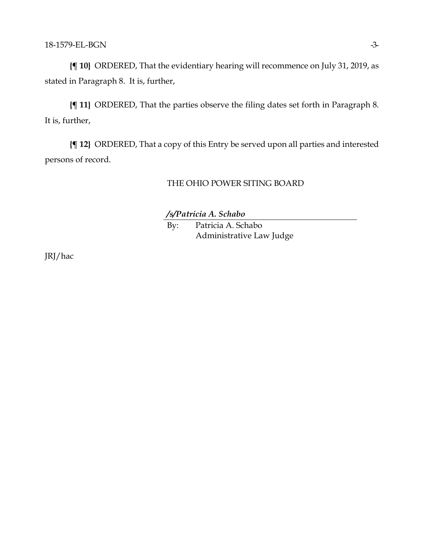**{¶ 10}** ORDERED, That the evidentiary hearing will recommence on July 31, 2019, as stated in Paragraph 8. It is, further,

**{¶ 11}** ORDERED, That the parties observe the filing dates set forth in Paragraph 8. It is, further,

**{¶ 12}** ORDERED, That a copy of this Entry be served upon all parties and interested persons of record.

## THE OHIO POWER SITING BOARD

*/s/Patricia A. Schabo*

By: Patricia A. Schabo Administrative Law Judge

JRJ/hac